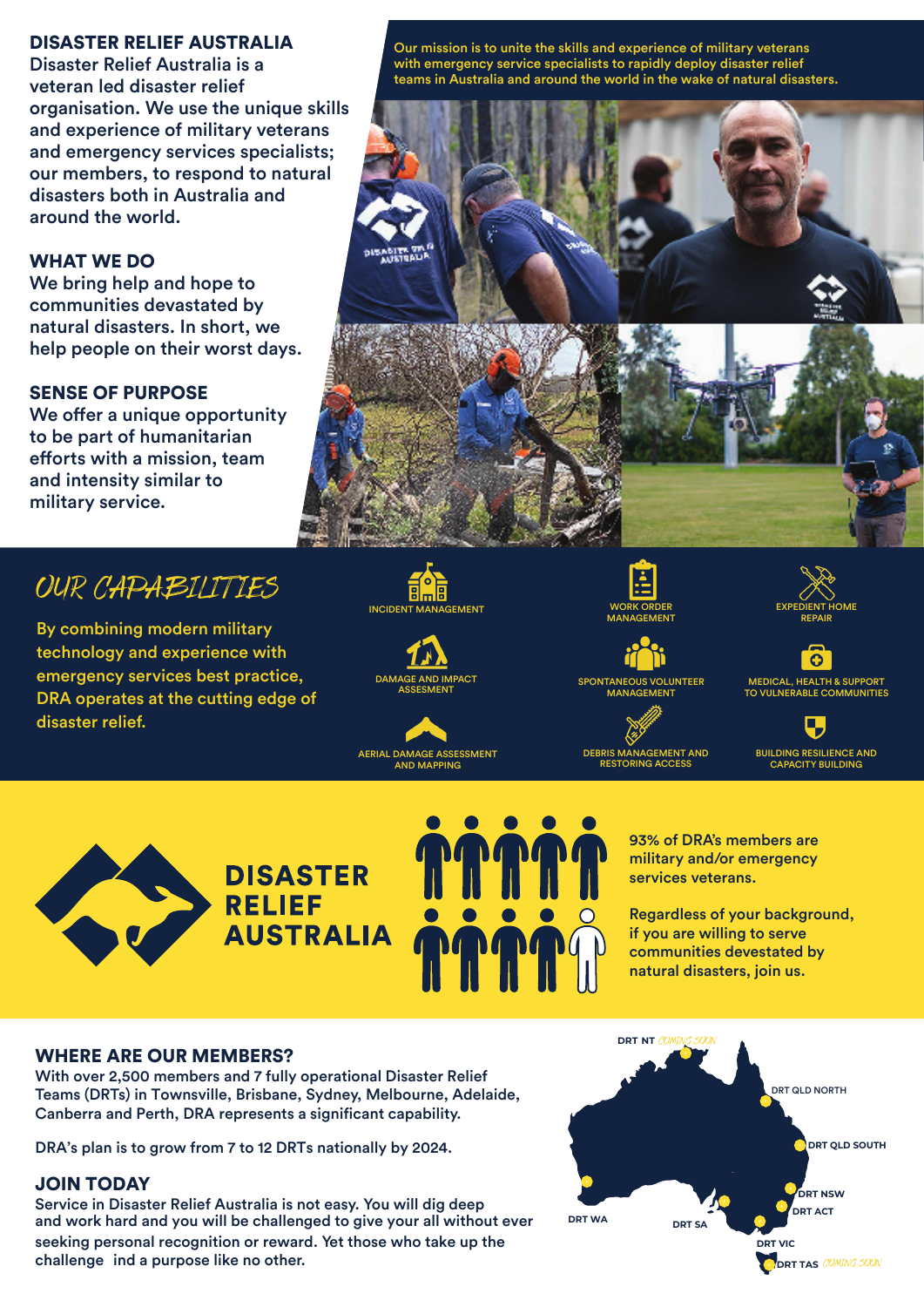### DISASTER RELIEF AUSTRALIA

Disaster Relief Australia is a veteran led disaster relief organisation. We use the unique skills and experience of military veterans and emergency services specialists; our members, to respond to natural disasters both in Australia and around the world.

# WHAT WE DO

We bring help and hope to communities devastated by natural disasters. In short, we help people on their worst days.

# SENSE OF PURPOSE

We offer a unique opportunity to be part of humanitarian efforts with a mission, team and intensity similar to military service.

# OUR CAPABILITIES

By combining modern military technology and experience with emergency services best practice, DRA operates at the cutting edge of disaster relief.

Our mission is to unite the skills and experience of military veterans with emergency service specialists to rapidly deploy disaster relief teams in Australia and around the world in the wake of natural disasters.







AERIAL DAMAGE ASSESSMENT AND MAPPING



DEBRIS MANAGEMENT AND **RESTORING ACCES** 



SPONTANEOUS VOLUNTEER MANAGEMENT



റ

BUILDING RESILIENCE AND CAPACITY BUILDING





93% of DRA's members are military and/or emergency services veterans.

Regardless of your background, if you are willing to serve communities devestated by natural disasters, join us.

#### WHERE ARE OUR MEMBERS?

With over 2,500 members and 7 fully operational Disaster Relief Teams (DRTs) in Townsville, Brisbane, Sydney, Melbourne, Adelaide, Canberra and Perth, DRA represents a significant capability.

DRA's plan is to grow from 7 to 12 DRTs nationally by 2024.

### JOIN TODAY

Service in Disaster Relief Australia is not easy. You will dig deep and work hard and you will be challenged to give your all without ever

seeking personal recognition or reward. Yet those who take up the challenge ind a purpose like no other.